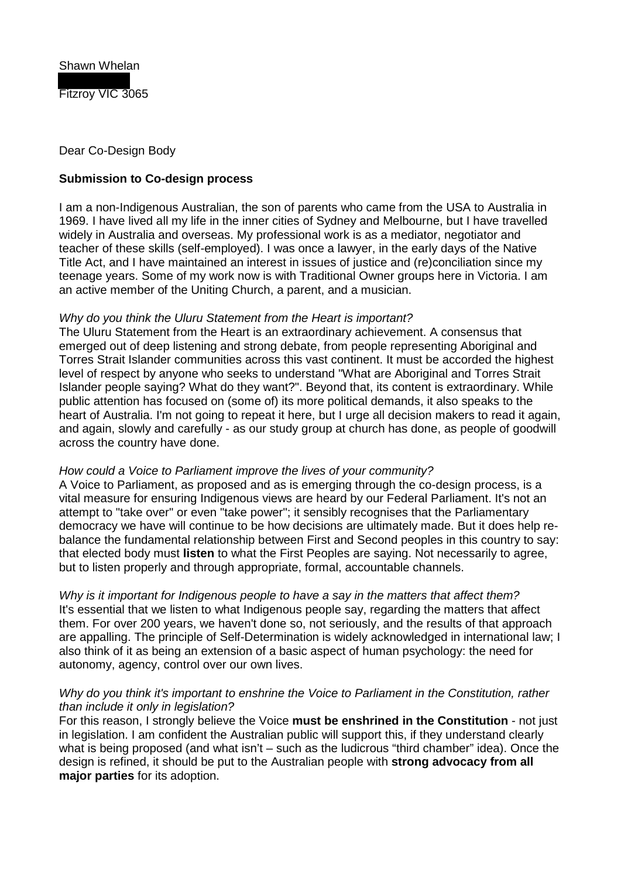

## Dear Co-Design Body

# **Submission to Co-design process**

I am a non-Indigenous Australian, the son of parents who came from the USA to Australia in 1969. I have lived all my life in the inner cities of Sydney and Melbourne, but I have travelled widely in Australia and overseas. My professional work is as a mediator, negotiator and teacher of these skills (self-employed). I was once a lawyer, in the early days of the Native Title Act, and I have maintained an interest in issues of justice and (re)conciliation since my teenage years. Some of my work now is with Traditional Owner groups here in Victoria. I am an active member of the Uniting Church, a parent, and a musician.

### *Why do you think the Uluru Statement from the Heart is important?*

The Uluru Statement from the Heart is an extraordinary achievement. A consensus that emerged out of deep listening and strong debate, from people representing Aboriginal and Torres Strait Islander communities across this vast continent. It must be accorded the highest level of respect by anyone who seeks to understand "What are Aboriginal and Torres Strait Islander people saying? What do they want?". Beyond that, its content is extraordinary. While public attention has focused on (some of) its more political demands, it also speaks to the heart of Australia. I'm not going to repeat it here, but I urge all decision makers to read it again, and again, slowly and carefully - as our study group at church has done, as people of goodwill across the country have done.

### *How could a Voice to Parliament improve the lives of your community?*

A Voice to Parliament, as proposed and as is emerging through the co-design process, is a vital measure for ensuring Indigenous views are heard by our Federal Parliament. It's not an attempt to "take over" or even "take power"; it sensibly recognises that the Parliamentary democracy we have will continue to be how decisions are ultimately made. But it does help rebalance the fundamental relationship between First and Second peoples in this country to say: that elected body must **listen** to what the First Peoples are saying. Not necessarily to agree, but to listen properly and through appropriate, formal, accountable channels.

*Why is it important for Indigenous people to have a say in the matters that affect them?* It's essential that we listen to what Indigenous people say, regarding the matters that affect them. For over 200 years, we haven't done so, not seriously, and the results of that approach are appalling. The principle of Self-Determination is widely acknowledged in international law; I also think of it as being an extension of a basic aspect of human psychology: the need for autonomy, agency, control over our own lives.

### *Why do you think it's important to enshrine the Voice to Parliament in the Constitution, rather than include it only in legislation?*

For this reason, I strongly believe the Voice **must be enshrined in the Constitution** - not just in legislation. I am confident the Australian public will support this, if they understand clearly what is being proposed (and what isn't – such as the ludicrous "third chamber" idea). Once the design is refined, it should be put to the Australian people with **strong advocacy from all major parties** for its adoption.